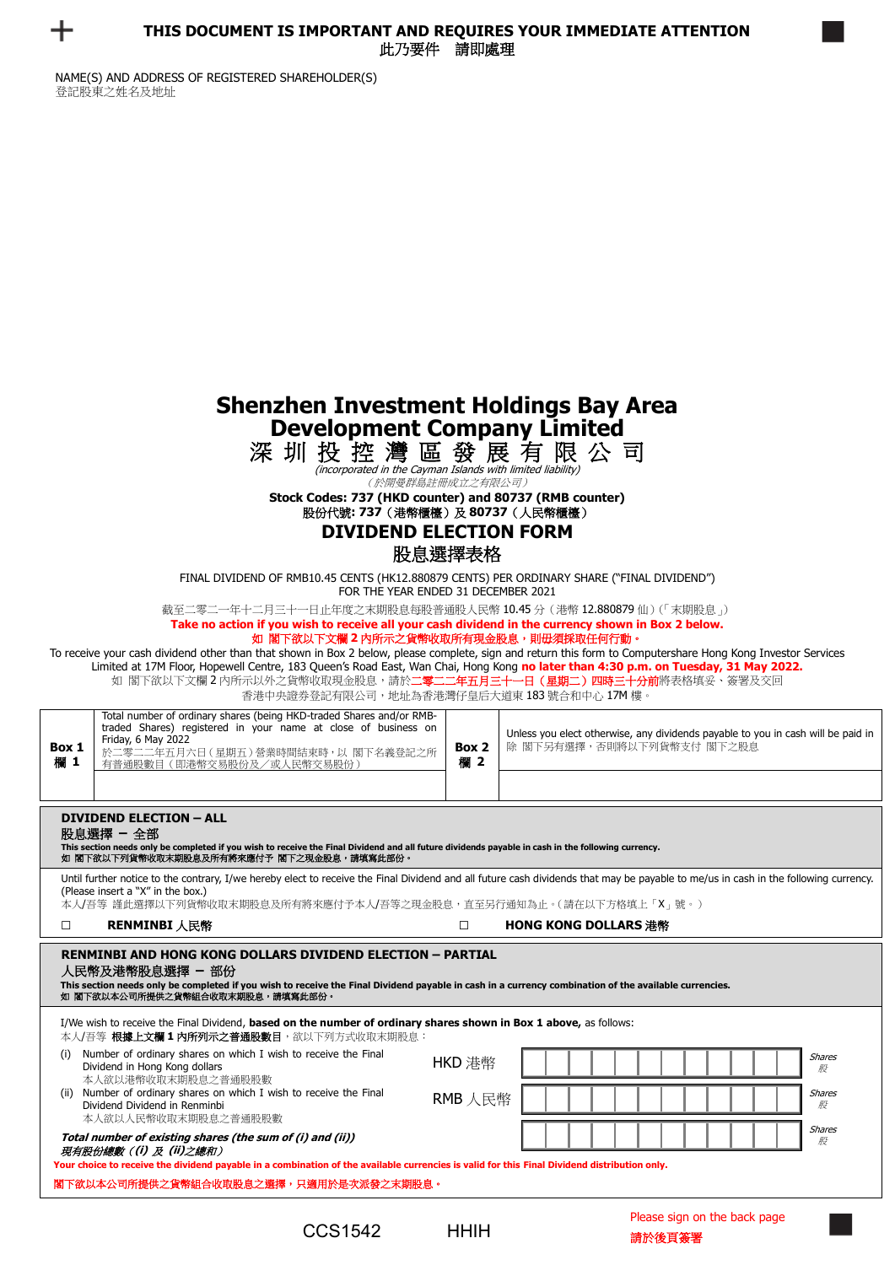

|                                                                                                                                                                                                                                | <b>Shenzhen Investment Holdings Bay Area</b> |
|--------------------------------------------------------------------------------------------------------------------------------------------------------------------------------------------------------------------------------|----------------------------------------------|
| <b>Development Company Limited</b>                                                                                                                                                                                             |                                              |
| the statute the Tradit ships were provided in the status of the status of the status of the status of the status of the status of the status of the status of the status of the status of the status of the status of the stat |                                              |

深 圳 投 控 灣 區 發 展 有 限 公 司

(incorporated in the Cayman Islands with limited liability) (於開曼群島註冊成立之有限公司)

**Stock Codes: 737 (HKD counter) and 80737 (RMB counter)** 股份代號**: 737**(港幣櫃檯)及 **80737**(人民幣櫃檯)

## **DIVIDEND ELECTION FORM** 股息選擇表格

FINAL DIVIDEND OF RMB10.45 CENTS (HK12.880879 CENTS) PER ORDINARY SHARE ("FINAL DIVIDEND")

FOR THE YEAR ENDED 31 DECEMBER 2021

截至二零二一年十二月三十一日止年度之末期股息每股普通股人民幣 10.45 分(港幣 12.880879 仙)(「末期股息」)

**Take no action if you wish to receive all your cash dividend in the currency shown in Box 2 below.** 

## 如 閣下欲以下文欄 **2** 內所示之貨幣收取所有現金股息,則毋須採取任何行動。

To receive your cash dividend other than that shown in Box 2 below, please complete, sign and return this form to Computershare Hong Kong Investor Services Limited at 17M Floor, Hopewell Centre, 183 Queen's Road East, Wan Chai, Hong Kong **no later than 4:30 p.m. on Tuesday, 31 May 2022.** 如 閣下欲以下文欄2內所示以外之貨幣收取現金股息,請於**二零二二年五月三十一日(星期二)四時三十分前**將表格填妥、簽署及交回

香港中央證券登記有限公司,地址為香港灣仔皇后大道東 183 號合和中心 17M 樓。

| Box 1<br>欄 1                                                                                                                                                                                                                                                                                                                                                                                                                                            | 日他干人起分立:叱月帐公円:地址@日他/弓 」 王归八迫木 100 测日/凹下心 1/11 倭<br>Total number of ordinary shares (being HKD-traded Shares and/or RMB-<br>traded Shares) registered in your name at close of business on<br>Friday, 6 May 2022<br>於二零二二年五月六日 (星期五) 營業時間結束時, 以 閣下名義登記之所<br>有普通股數目(即港幣交易股份及/或人民幣交易股份) | Box 2<br>欄 2      | Unless you elect otherwise, any dividends payable to you in cash will be paid in<br>除 閣下另有選擇,否則將以下列貨幣支付 閣下之股息                                                                       |  |
|---------------------------------------------------------------------------------------------------------------------------------------------------------------------------------------------------------------------------------------------------------------------------------------------------------------------------------------------------------------------------------------------------------------------------------------------------------|--------------------------------------------------------------------------------------------------------------------------------------------------------------------------------------------------------------------------------------------------------------------------------------|-------------------|-------------------------------------------------------------------------------------------------------------------------------------------------------------------------------------|--|
| <b>DIVIDEND ELECTION - ALL</b><br>股息選擇 - 全部<br>This section needs only be completed if you wish to receive the Final Dividend and all future dividends payable in cash in the following currency.<br>如 閣下欲以下列貨幣收取末期股息及所有將來應付予 閣下之現金股息,請填寫此部份。                                                                                                                                                                                                           |                                                                                                                                                                                                                                                                                      |                   |                                                                                                                                                                                     |  |
|                                                                                                                                                                                                                                                                                                                                                                                                                                                         | (Please insert a "X" in the box.)<br>本人/吾等 謹此選擇以下列貨幣收取末期股息及所有將來應付予本人/吾等之現金股息,直至另行通知為止。(請在以下方格填上「X」號。)                                                                                                                                                                                |                   | Until further notice to the contrary, I/we hereby elect to receive the Final Dividend and all future cash dividends that may be payable to me/us in cash in the following currency. |  |
| $\Box$                                                                                                                                                                                                                                                                                                                                                                                                                                                  | RENMINBI 人民幣                                                                                                                                                                                                                                                                         | $\Box$            | <b>HONG KONG DOLLARS 港幣</b>                                                                                                                                                         |  |
| <b>RENMINBI AND HONG KONG DOLLARS DIVIDEND ELECTION - PARTIAL</b><br>人民幣及港幣股息選擇 - 部份<br>This section needs only be completed if you wish to receive the Final Dividend payable in cash in a currency combination of the available currencies.<br>如 閣下欲以本公司所提供之貨幣組合收取末期股息,請填寫此部份。<br>I/We wish to receive the Final Dividend, based on the number of ordinary shares shown in Box 1 above, as follows:<br>本人/吾等 <b>根據上文欄 1 内所列示之普通股數目</b> ,欲以下列方式收取末期股息: |                                                                                                                                                                                                                                                                                      |                   |                                                                                                                                                                                     |  |
| (i)<br>(ii)                                                                                                                                                                                                                                                                                                                                                                                                                                             | Number of ordinary shares on which I wish to receive the Final<br>Dividend in Hong Kong dollars<br>本人欲以港幣收取末期股息之普通股股數<br>Number of ordinary shares on which I wish to receive the Final<br>Dividend Dividend in Renminbi<br>本人欲以人民幣收取末期股息之普通股股數                                      | HKD 港幣<br>RMB 人民幣 | <b>Shares</b><br>股<br><b>Shares</b><br>股                                                                                                                                            |  |
|                                                                                                                                                                                                                                                                                                                                                                                                                                                         | Total number of existing shares (the sum of (i) and (ii))<br>現有股份總數((i) 及 (ii)之總和)<br>Your choice to receive the dividend payable in a combination of the available currencies is valid for this Final Dividend distribution only.                                                   |                   | <b>Shares</b><br>股                                                                                                                                                                  |  |
| 閣下欲以本公司所提供之貨幣組合收取股息之選擇,只適用於是次派發之末期股息。                                                                                                                                                                                                                                                                                                                                                                                                                   |                                                                                                                                                                                                                                                                                      |                   |                                                                                                                                                                                     |  |
|                                                                                                                                                                                                                                                                                                                                                                                                                                                         |                                                                                                                                                                                                                                                                                      |                   | Discovery of any long-these leaders are any                                                                                                                                         |  |

Please sign on the back page  $CCS1542$  HHIH  $\frac{3}{\text{m} \times \text{m}}$